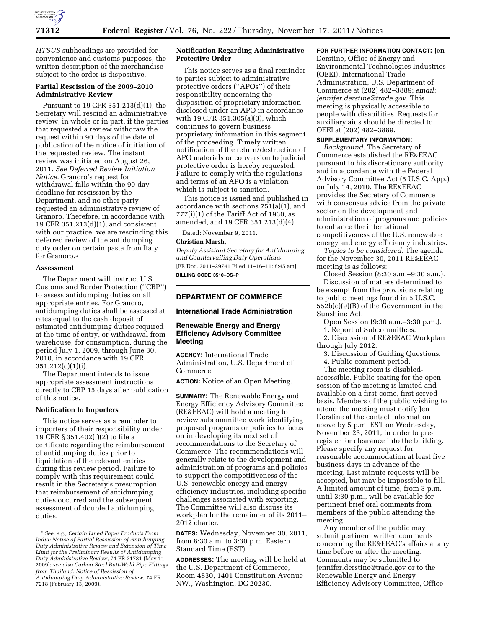

*HTSUS* subheadings are provided for convenience and customs purposes, the written description of the merchandise subject to the order is dispositive.

# **Partial Rescission of the 2009–2010 Administrative Review**

Pursuant to 19 CFR 351.213(d)(1), the Secretary will rescind an administrative review, in whole or in part, if the parties that requested a review withdraw the request within 90 days of the date of publication of the notice of initiation of the requested review. The instant review was initiated on August 26, 2011. *See Deferred Review Initiation Notice.* Granoro's request for withdrawal falls within the 90-day deadline for rescission by the Department, and no other party requested an administrative review of Granoro. Therefore, in accordance with 19 CFR 351.213(d)(1), and consistent with our practice, we are rescinding this deferred review of the antidumping duty order on certain pasta from Italy for Granoro.<sup>5</sup>

#### **Assessment**

The Department will instruct U.S. Customs and Border Protection (''CBP'') to assess antidumping duties on all appropriate entries. For Granoro, antidumping duties shall be assessed at rates equal to the cash deposit of estimated antidumping duties required at the time of entry, or withdrawal from warehouse, for consumption, during the period July 1, 2009, through June 30, 2010, in accordance with 19 CFR 351.212(c)(1)(i).

The Department intends to issue appropriate assessment instructions directly to CBP 15 days after publication of this notice.

### **Notification to Importers**

This notice serves as a reminder to importers of their responsibility under 19 CFR § 351.402(f)(2) to file a certificate regarding the reimbursement of antidumping duties prior to liquidation of the relevant entries during this review period. Failure to comply with this requirement could result in the Secretary's presumption that reimbursement of antidumping duties occurred and the subsequent assessment of doubled antidumping duties.

## **Notification Regarding Administrative Protective Order**

This notice serves as a final reminder to parties subject to administrative protective orders (''APOs'') of their responsibility concerning the disposition of proprietary information disclosed under an APO in accordance with 19 CFR 351.305(a)(3), which continues to govern business proprietary information in this segment of the proceeding. Timely written notification of the return/destruction of APO materials or conversion to judicial protective order is hereby requested. Failure to comply with the regulations and terms of an APO is a violation which is subject to sanction.

This notice is issued and published in accordance with sections 751(a)(1), and  $777(i)(1)$  of the Tariff Act of 1930, as amended, and 19 CFR 351.213(d)(4).

Dated: November 9, 2011.

#### **Christian Marsh,**

*Deputy Assistant Secretary for Antidumping and Countervailing Duty Operations.*  [FR Doc. 2011–29741 Filed 11–16–11; 8:45 am] **BILLING CODE 3510–DS–P** 

## **DEPARTMENT OF COMMERCE**

### **International Trade Administration**

### **Renewable Energy and Energy Efficiency Advisory Committee Meeting**

**AGENCY:** International Trade Administration, U.S. Department of Commerce.

**ACTION:** Notice of an Open Meeting.

**SUMMARY:** The Renewable Energy and Energy Efficiency Advisory Committee (RE&EEAC) will hold a meeting to review subcommittee work identifying proposed programs or policies to focus on in developing its next set of recommendations to the Secretary of Commerce. The recommendations will generally relate to the development and administration of programs and policies to support the competitiveness of the U.S. renewable energy and energy efficiency industries, including specific challenges associated with exporting. The Committee will also discuss its workplan for the remainder of its 2011– 2012 charter.

**DATES:** Wednesday, November 30, 2011, from 8:30 a.m. to 3:30 p.m. Eastern Standard Time (EST)

**ADDRESSES:** The meeting will be held at the U.S. Department of Commerce, Room 4830, 1401 Constitution Avenue NW., Washington, DC 20230.

### **FOR FURTHER INFORMATION CONTACT:** Jen

Derstine, Office of Energy and Environmental Technologies Industries (OEEI), International Trade Administration, U.S. Department of Commerce at (202) 482–3889; *email: [jennifer.derstine@trade.gov](mailto:jennifer.derstine@trade.gov)*. This meeting is physically accessible to people with disabilities. Requests for auxiliary aids should be directed to OEEI at (202) 482–3889.

### **SUPPLEMENTARY INFORMATION:**

*Background:* The Secretary of Commerce established the RE&EEAC pursuant to his discretionary authority and in accordance with the Federal Advisory Committee Act (5 U.S.C. App.) on July 14, 2010. The RE&EEAC provides the Secretary of Commerce with consensus advice from the private sector on the development and administration of programs and policies to enhance the international competitiveness of the U.S. renewable energy and energy efficiency industries.

*Topics to be considered:* The agenda for the November 30, 2011 RE&EEAC meeting is as follows:

Closed Session (8:30 a.m.–9:30 a.m.). Discussion of matters determined to be exempt from the provisions relating to public meetings found in 5 U.S.C. 552b(c)(9)(B) of the Government in the Sunshine Act.

Open Session (9:30 a.m.–3:30 p.m.).

1. Report of Subcommittees.

2. Discussion of RE&EEAC Workplan through July 2012.

3. Discussion of Guiding Questions.

4. Public comment period.

The meeting room is disabledaccessible. Public seating for the open session of the meeting is limited and available on a first-come, first-served basis. Members of the public wishing to attend the meeting must notify Jen Derstine at the contact information above by 5 p.m. EST on Wednesday, November 23, 2011, in order to preregister for clearance into the building. Please specify any request for reasonable accommodation at least five business days in advance of the meeting. Last minute requests will be accepted, but may be impossible to fill. A limited amount of time, from 3 p.m. until 3:30 p.m., will be available for pertinent brief oral comments from members of the public attending the meeting.

Any member of the public may submit pertinent written comments concerning the RE&EEAC's affairs at any time before or after the meeting. Comments may be submitted to [jennifer.derstine@trade.gov](mailto:jennifer.derstine@trade.gov) or to the Renewable Energy and Energy Efficiency Advisory Committee, Office

<sup>5</sup>*See, e.g., Certain Lined Paper Products From India: Notice of Partial Rescission of Antidumping Duty Administrative Review and Extension of Time Limit for the Preliminary Results of Antidumping Duty Administrative Review,* 74 FR 21781 (May 11, 2009); *see also Carbon Steel Butt-Weld Pipe Fittings from Thailand: Notice of Rescission of Antidumping Duty Administrative Review,* 74 FR 7218 (February 13, 2009).